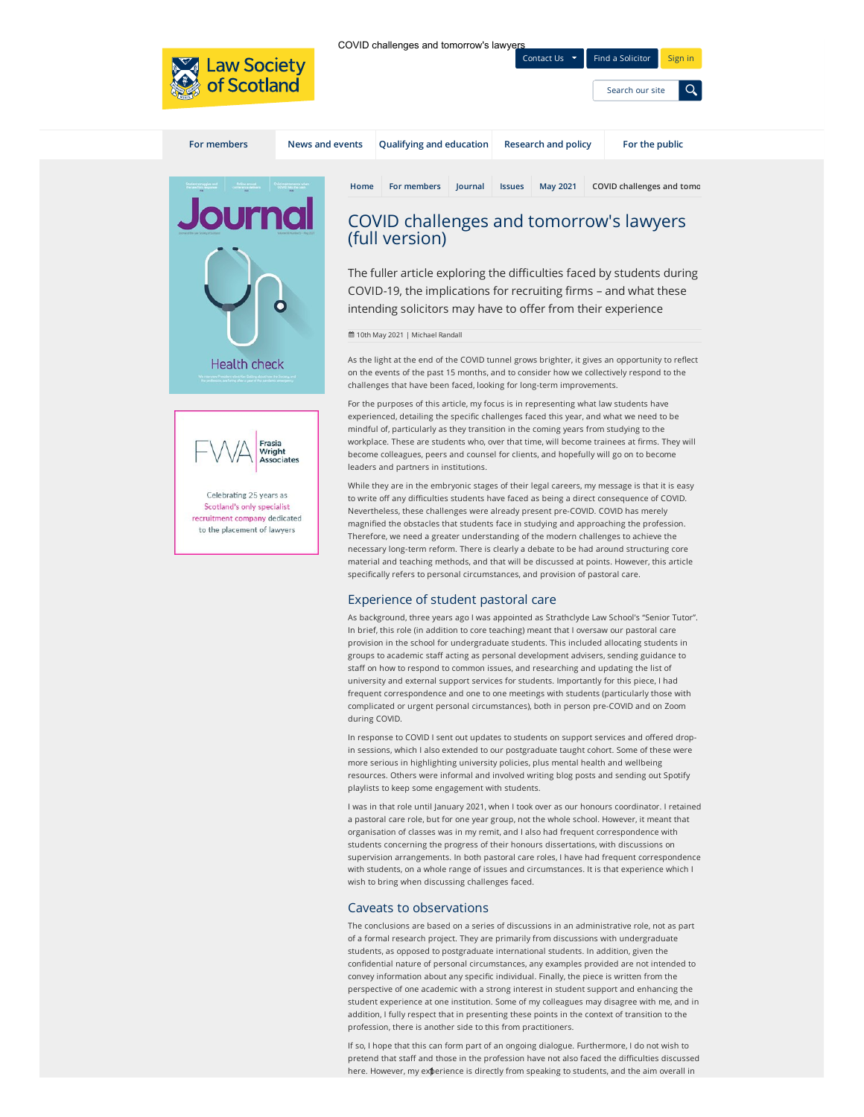

**Health check** 

Celebrating 25 years as Scotland's only specialist recruitment company dedicated to the placement of lawyers

Frasia<br>Wright Associates COVID challenges and tomorrow's lawy

Contact Us  $\mathbf{v}$  [Find a Solicitor](https://www.lawscot.org.uk/find-a-solicitor/) [Sign in](https://www.lawscot.org.uk/sign-in/)

[Search our site](https://www.lawscot.org.uk/search)

| <b>For members</b> | News and events |      | Qualifying and education                                                                                                                                                                                     |                | <b>Research and policy</b> |                 | For the public                                                                                      |  |
|--------------------|-----------------|------|--------------------------------------------------------------------------------------------------------------------------------------------------------------------------------------------------------------|----------------|----------------------------|-----------------|-----------------------------------------------------------------------------------------------------|--|
|                    |                 | Home | For members<br>COVID challenges and tomorrow's lawyers<br>(full version)<br>COVID-19, the implications for recruiting firms - and what these<br>intending solicitors may have to offer from their experience | <b>lournal</b> | <b>Issues</b>              | <b>May 2021</b> | COVID challenges and tomo<br>The fuller article exploring the difficulties faced by students during |  |

10th May 2021 | Michael Randall

As the light at the end of the COVID tunnel grows brighter, it gives an opportunity to reflect on the events of the past 15 months, and to consider how we collectively respond to the challenges that have been faced, looking for long-term improvements.

For the purposes of this article, my focus is in representing what law students have experienced, detailing the specific challenges faced this year, and what we need to be mindful of, particularly as they transition in the coming years from studying to the workplace. These are students who, over that time, will become trainees at firms. They will become colleagues, peers and counsel for clients, and hopefully will go on to become leaders and partners in institutions.

While they are in the embryonic stages of their legal careers, my message is that it is easy to write off any difficulties students have faced as being a direct consequence of COVID. Nevertheless, these challenges were already present pre-COVID. COVID has merely magnified the obstacles that students face in studying and approaching the profession. Therefore, we need a greater understanding of the modern challenges to achieve the necessary long-term reform. There is clearly a debate to be had around structuring core material and teaching methods, and that will be discussed at points. However, this article specifically refers to personal circumstances, and provision of pastoral care.

## Experience of student pastoral care

As background, three years ago I was appointed as Strathclyde Law School's "Senior Tutor". In brief, this role (in addition to core teaching) meant that I oversaw our pastoral care provision in the school for undergraduate students. This included allocating students in groups to academic staff acting as personal development advisers, sending guidance to staff on how to respond to common issues, and researching and updating the list of university and external support services for students. Importantly for this piece, I had frequent correspondence and one to one meetings with students (particularly those with complicated or urgent personal circumstances), both in person pre-COVID and on Zoom during COVID.

In response to COVID I sent out updates to students on support services and offered dropin sessions, which I also extended to our postgraduate taught cohort. Some of these were more serious in highlighting university policies, plus mental health and wellbeing resources. Others were informal and involved writing blog posts and sending out Spotify playlists to keep some engagement with students.

I was in that role until January 2021, when I took over as our honours coordinator. I retained a pastoral care role, but for one year group, not the whole school. However, it meant that organisation of classes was in my remit, and I also had frequent correspondence with students concerning the progress of their honours dissertations, with discussions on supervision arrangements. In both pastoral care roles, I have had frequent correspondence with students, on a whole range of issues and circumstances. It is that experience which I wish to bring when discussing challenges faced.

### Caveats to observations

The conclusions are based on a series of discussions in an administrative role, not as part of a formal research project. They are primarily from discussions with undergraduate students, as opposed to postgraduate international students. In addition, given the confidential nature of personal circumstances, any examples provided are not intended to convey information about any specific individual. Finally, the piece is written from the perspective of one academic with a strong interest in student support and enhancing the student experience at one institution. Some of my colleagues may disagree with me, and in addition, I fully respect that in presenting these points in the context of transition to the profession, there is another side to this from practitioners.

If so, I hope that this can form part of an ongoing dialogue. Furthermore, I do not wish to pretend that staff and those in the profession have not also faced the difficulties discussed here. However, my experience is directly from speaking to students, and the aim overall in 1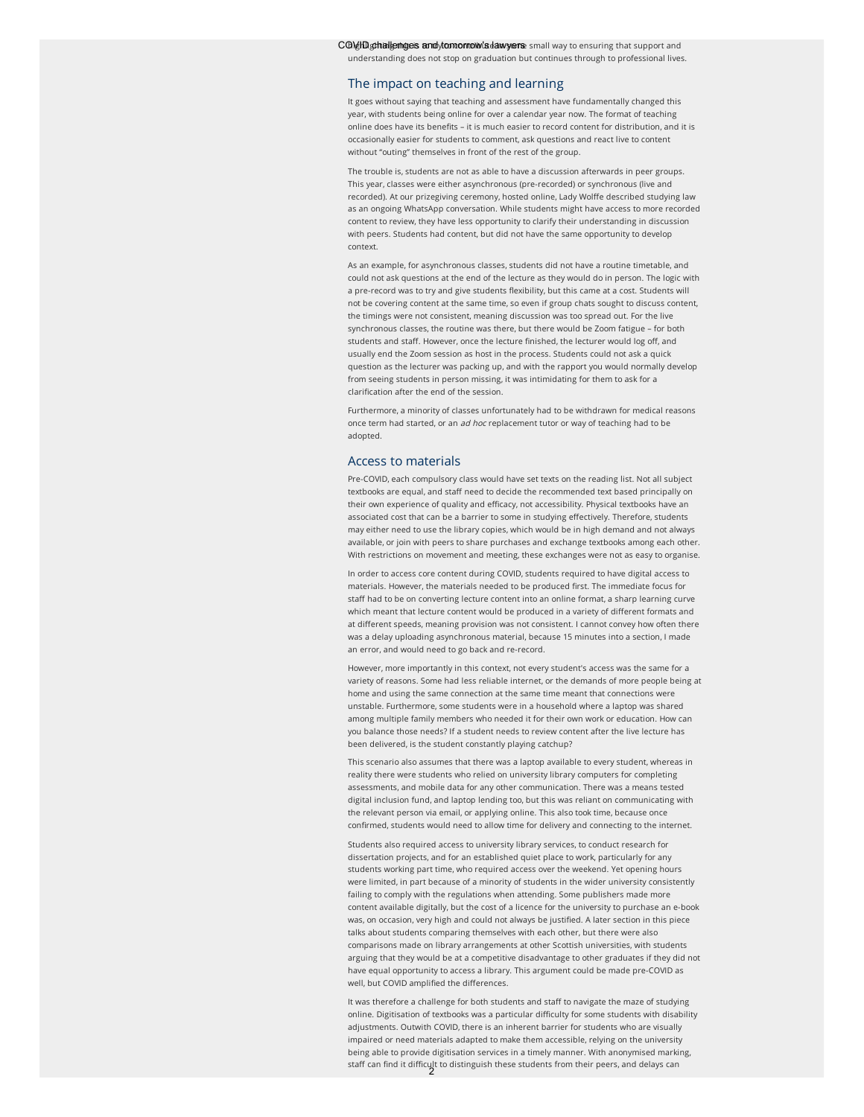### The impact on teaching and learning

It goes without saying that teaching and assessment have fundamentally changed this year, with students being online for over a calendar year now. The format of teaching online does have its benefits – it is much easier to record content for distribution, and it is occasionally easier for students to comment, ask questions and react live to content without "outing" themselves in front of the rest of the group.

The trouble is, students are not as able to have a discussion afterwards in peer groups. This year, classes were either asynchronous (pre-recorded) or synchronous (live and recorded). At our prizegiving ceremony, hosted online, Lady Wolffe described studying law as an ongoing WhatsApp conversation. While students might have access to more recorded content to review, they have less opportunity to clarify their understanding in discussion with peers. Students had content, but did not have the same opportunity to develop context.

As an example, for asynchronous classes, students did not have a routine timetable, and could not ask questions at the end of the lecture as they would do in person. The logic with a pre-record was to try and give students flexibility, but this came at a cost. Students will not be covering content at the same time, so even if group chats sought to discuss content, the timings were not consistent, meaning discussion was too spread out. For the live synchronous classes, the routine was there, but there would be Zoom fatigue – for both students and staff. However, once the lecture finished, the lecturer would log off, and usually end the Zoom session as host in the process. Students could not ask a quick question as the lecturer was packing up, and with the rapport you would normally develop from seeing students in person missing, it was intimidating for them to ask for a clarification after the end of the session.

Furthermore, a minority of classes unfortunately had to be withdrawn for medical reasons once term had started, or an ad hoc replacement tutor or way of teaching had to be adopted.

### Access to materials

Pre-COVID, each compulsory class would have set texts on the reading list. Not all subject textbooks are equal, and staff need to decide the recommended text based principally on their own experience of quality and efficacy, not accessibility. Physical textbooks have an associated cost that can be a barrier to some in studying effectively. Therefore, students may either need to use the library copies, which would be in high demand and not always available, or join with peers to share purchases and exchange textbooks among each other. With restrictions on movement and meeting, these exchanges were not as easy to organise.

In order to access core content during COVID, students required to have digital access to materials. However, the materials needed to be produced first. The immediate focus for staff had to be on converting lecture content into an online format, a sharp learning curve which meant that lecture content would be produced in a variety of different formats and at different speeds, meaning provision was not consistent. I cannot convey how often there was a delay uploading asynchronous material, because 15 minutes into a section, I made an error, and would need to go back and re-record.

However, more importantly in this context, not every student's access was the same for a variety of reasons. Some had less reliable internet, or the demands of more people being at home and using the same connection at the same time meant that connections were unstable. Furthermore, some students were in a household where a laptop was shared among multiple family members who needed it for their own work or education. How can you balance those needs? If a student needs to review content after the live lecture has been delivered, is the student constantly playing catchup?

This scenario also assumes that there was a laptop available to every student, whereas in reality there were students who relied on university library computers for completing assessments, and mobile data for any other communication. There was a means tested digital inclusion fund, and laptop lending too, but this was reliant on communicating with the relevant person via email, or applying online. This also took time, because once confirmed, students would need to allow time for delivery and connecting to the internet.

Students also required access to university library services, to conduct research for dissertation projects, and for an established quiet place to work, particularly for any students working part time, who required access over the weekend. Yet opening hours were limited, in part because of a minority of students in the wider university consistently failing to comply with the regulations when attending. Some publishers made more content available digitally, but the cost of a licence for the university to purchase an e-book was, on occasion, very high and could not always be justied. A later section in this piece talks about students comparing themselves with each other, but there were also comparisons made on library arrangements at other Scottish universities, with students arguing that they would be at a competitive disadvantage to other graduates if they did not have equal opportunity to access a library. This argument could be made pre-COVID as well, but COVID amplified the differences.

It was therefore a challenge for both students and staff to navigate the maze of studying online. Digitisation of textbooks was a particular difficulty for some students with disability adjustments. Outwith COVID, there is an inherent barrier for students who are visually impaired or need materials adapted to make them accessible, relying on the university being able to provide digitisation services in a timely manner. With anonymised marking, staff can find it difficult to distinguish these students from their peers, and delays can<br> $\overline{2}$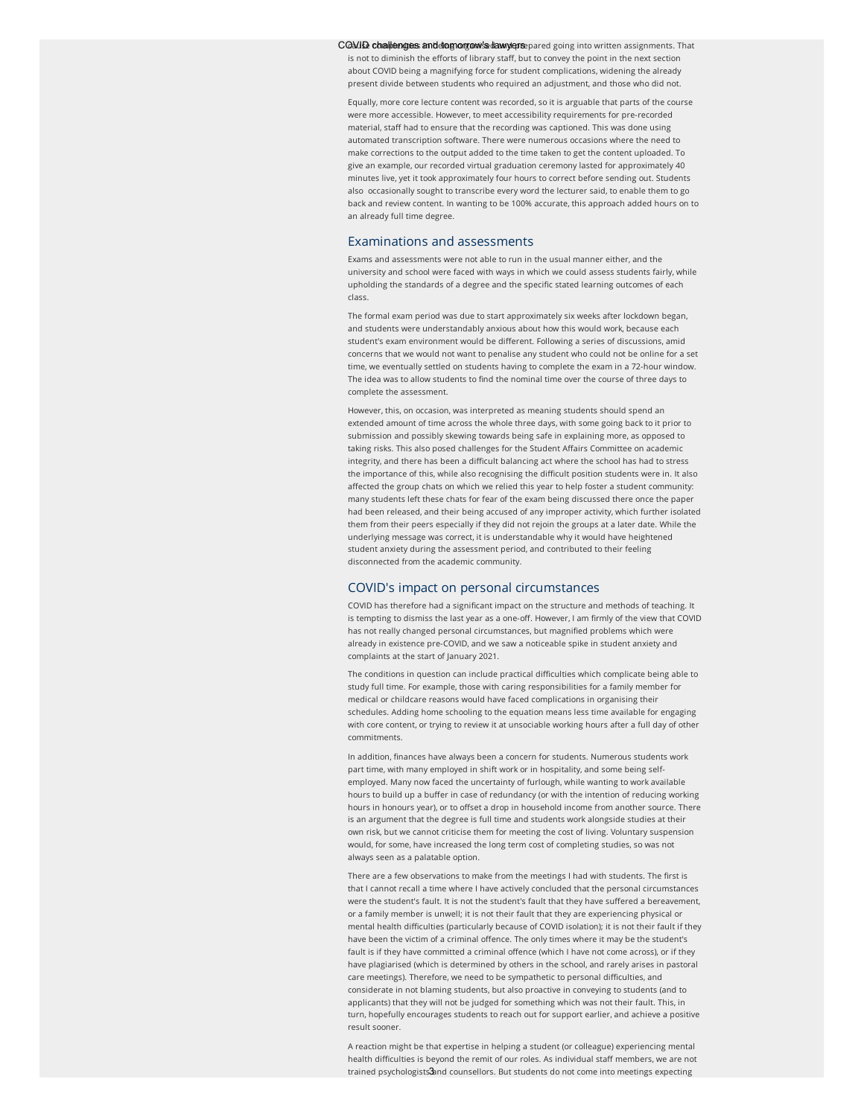COMIE challenges and domorgow's damy ensepared going into written assignments. That is not to diminish the efforts of library staff, but to convey the point in the next section about COVID being a magnifying force for student complications, widening the already present divide between students who required an adjustment, and those who did not.

Equally, more core lecture content was recorded, so it is arguable that parts of the course were more accessible. However, to meet accessibility requirements for pre-recorded material, staff had to ensure that the recording was captioned. This was done using automated transcription software. There were numerous occasions where the need to make corrections to the output added to the time taken to get the content uploaded. To give an example, our recorded virtual graduation ceremony lasted for approximately 40 minutes live, yet it took approximately four hours to correct before sending out. Students also occasionally sought to transcribe every word the lecturer said, to enable them to go back and review content. In wanting to be 100% accurate, this approach added hours on to an already full time degree.

### Examinations and assessments

Exams and assessments were not able to run in the usual manner either, and the university and school were faced with ways in which we could assess students fairly, while upholding the standards of a degree and the specific stated learning outcomes of each class.

The formal exam period was due to start approximately six weeks after lockdown began, and students were understandably anxious about how this would work, because each student's exam environment would be different. Following a series of discussions, amid concerns that we would not want to penalise any student who could not be online for a set time, we eventually settled on students having to complete the exam in a 72-hour window. The idea was to allow students to find the nominal time over the course of three days to complete the assessment.

However, this, on occasion, was interpreted as meaning students should spend an extended amount of time across the whole three days, with some going back to it prior to submission and possibly skewing towards being safe in explaining more, as opposed to taking risks. This also posed challenges for the Student Affairs Committee on academic integrity, and there has been a difficult balancing act where the school has had to stress the importance of this, while also recognising the difficult position students were in. It also affected the group chats on which we relied this year to help foster a student community: many students left these chats for fear of the exam being discussed there once the paper had been released, and their being accused of any improper activity, which further isolated them from their peers especially if they did not rejoin the groups at a later date. While the underlying message was correct, it is understandable why it would have heightened student anxiety during the assessment period, and contributed to their feeling disconnected from the academic community.

#### COVID's impact on personal circumstances

COVID has therefore had a significant impact on the structure and methods of teaching. It is tempting to dismiss the last year as a one-off. However, I am firmly of the view that COVID has not really changed personal circumstances, but magnified problems which were already in existence pre-COVID, and we saw a noticeable spike in student anxiety and complaints at the start of January 2021.

The conditions in question can include practical difficulties which complicate being able to study full time. For example, those with caring responsibilities for a family member for medical or childcare reasons would have faced complications in organising their schedules. Adding home schooling to the equation means less time available for engaging with core content, or trying to review it at unsociable working hours after a full day of other commitments.

In addition, finances have always been a concern for students. Numerous students work part time, with many employed in shift work or in hospitality, and some being selfemployed. Many now faced the uncertainty of furlough, while wanting to work available hours to build up a buffer in case of redundancy (or with the intention of reducing working hours in honours year), or to offset a drop in household income from another source. There is an argument that the degree is full time and students work alongside studies at their own risk, but we cannot criticise them for meeting the cost of living. Voluntary suspension would, for some, have increased the long term cost of completing studies, so was not always seen as a palatable option.

There are a few observations to make from the meetings I had with students. The first is that I cannot recall a time where I have actively concluded that the personal circumstances were the student's fault. It is not the student's fault that they have suffered a bereavement, or a family member is unwell; it is not their fault that they are experiencing physical or mental health difficulties (particularly because of COVID isolation); it is not their fault if they have been the victim of a criminal offence. The only times where it may be the student's fault is if they have committed a criminal offence (which I have not come across), or if they have plagiarised (which is determined by others in the school, and rarely arises in pastoral care meetings). Therefore, we need to be sympathetic to personal difficulties, and considerate in not blaming students, but also proactive in conveying to students (and to applicants) that they will not be judged for something which was not their fault. This, in turn, hopefully encourages students to reach out for support earlier, and achieve a positive result sooner.

A reaction might be that expertise in helping a student (or colleague) experiencing mental health difficulties is beyond the remit of our roles. As individual staff members, we are not trained psychologists3and counsellors. But students do not come into meetings expecting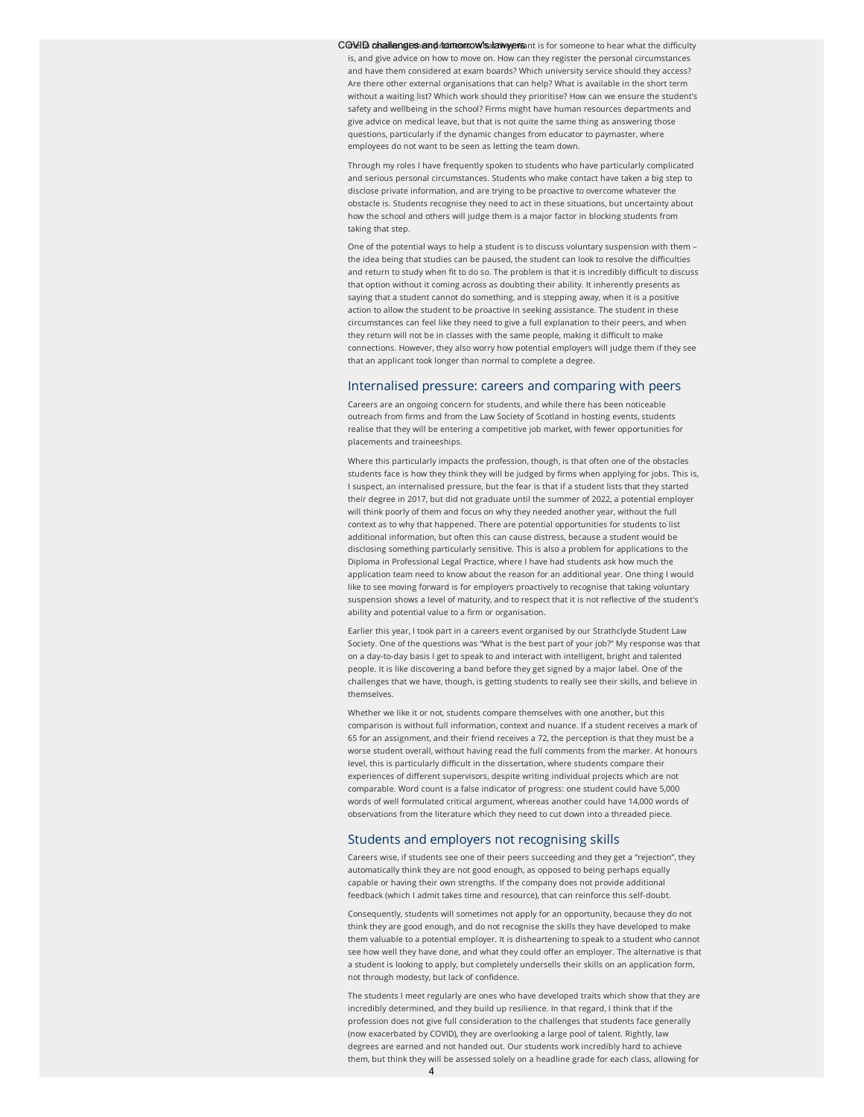COVID challenges and tom tomow's lawyers it is for someone to hear what the difficulty is, and give advice on how to move on. How can they register the personal circumstances and have them considered at exam boards? Which university service should they access? Are there other external organisations that can help? What is available in the short term without a waiting list? Which work should they prioritise? How can we ensure the student's safety and wellbeing in the school? Firms might have human resources departments and give advice on medical leave, but that is not quite the same thing as answering those questions, particularly if the dynamic changes from educator to paymaster, where employees do not want to be seen as letting the team down.

Through my roles I have frequently spoken to students who have particularly complicated and serious personal circumstances. Students who make contact have taken a big step to disclose private information, and are trying to be proactive to overcome whatever the obstacle is. Students recognise they need to act in these situations, but uncertainty about how the school and others will judge them is a major factor in blocking students from taking that step.

One of the potential ways to help a student is to discuss voluntary suspension with them – the idea being that studies can be paused, the student can look to resolve the difficulties and return to study when fit to do so. The problem is that it is incredibly difficult to discuss that option without it coming across as doubting their ability. It inherently presents as saying that a student cannot do something, and is stepping away, when it is a positive action to allow the student to be proactive in seeking assistance. The student in these circumstances can feel like they need to give a full explanation to their peers, and when they return will not be in classes with the same people, making it difficult to make connections. However, they also worry how potential employers will judge them if they see that an applicant took longer than normal to complete a degree.

### Internalised pressure: careers and comparing with peers

Careers are an ongoing concern for students, and while there has been noticeable outreach from firms and from the Law Society of Scotland in hosting events, students realise that they will be entering a competitive job market, with fewer opportunities for placements and traineeships.

Where this particularly impacts the profession, though, is that often one of the obstacles students face is how they think they will be judged by firms when applying for jobs. This is, I suspect, an internalised pressure, but the fear is that if a student lists that they started their degree in 2017, but did not graduate until the summer of 2022, a potential employer will think poorly of them and focus on why they needed another year, without the full context as to why that happened. There are potential opportunities for students to list additional information, but often this can cause distress, because a student would be disclosing something particularly sensitive. This is also a problem for applications to the Diploma in Professional Legal Practice, where I have had students ask how much the application team need to know about the reason for an additional year. One thing I would like to see moving forward is for employers proactively to recognise that taking voluntary suspension shows a level of maturity, and to respect that it is not reflective of the student's ability and potential value to a firm or organisation.

Earlier this year, I took part in a careers event organised by our Strathclyde Student Law Society. One of the questions was "What is the best part of your job?" My response was that on a day-to-day basis I get to speak to and interact with intelligent, bright and talented people. It is like discovering a band before they get signed by a major label. One of the challenges that we have, though, is getting students to really see their skills, and believe in themselves.

Whether we like it or not, students compare themselves with one another, but this comparison is without full information, context and nuance. If a student receives a mark of 65 for an assignment, and their friend receives a 72, the perception is that they must be a worse student overall, without having read the full comments from the marker. At honours level, this is particularly difficult in the dissertation, where students compare their experiences of different supervisors, despite writing individual projects which are not comparable. Word count is a false indicator of progress: one student could have 5,000 words of well formulated critical argument, whereas another could have 14,000 words of observations from the literature which they need to cut down into a threaded piece.

### Students and employers not recognising skills

Careers wise, if students see one of their peers succeeding and they get a "rejection", they automatically think they are not good enough, as opposed to being perhaps equally capable or having their own strengths. If the company does not provide additional feedback (which I admit takes time and resource), that can reinforce this self-doubt.

Consequently, students will sometimes not apply for an opportunity, because they do not think they are good enough, and do not recognise the skills they have developed to make them valuable to a potential employer. It is disheartening to speak to a student who cannot see how well they have done, and what they could offer an employer. The alternative is that a student is looking to apply, but completely undersells their skills on an application form, not through modesty, but lack of confidence.

The students I meet regularly are ones who have developed traits which show that they are incredibly determined, and they build up resilience. In that regard, I think that if the profession does not give full consideration to the challenges that students face generally (now exacerbated by COVID), they are overlooking a large pool of talent. Rightly, law degrees are earned and not handed out. Our students work incredibly hard to achieve them, but think they will be assessed solely on a headline grade for each class, allowing for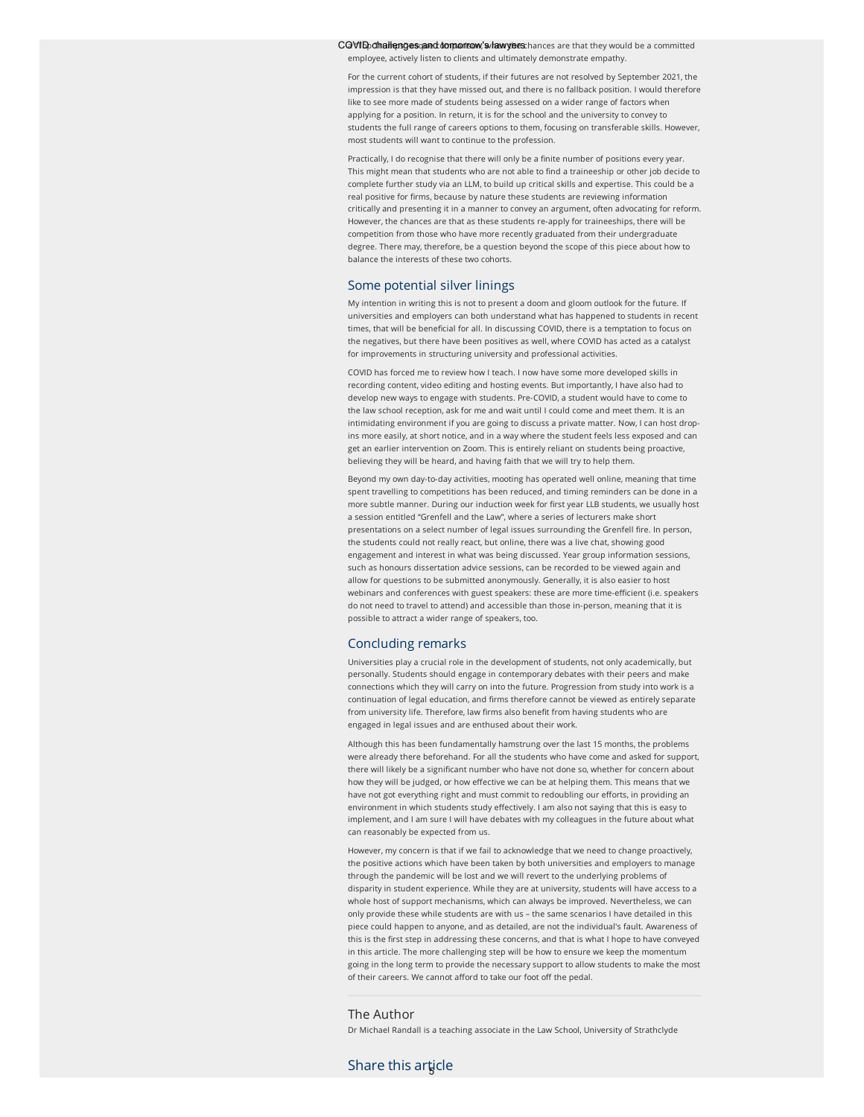COVID othallenges cand tom antion, sultawyers thances are that they would be a committed employee, actively listen to clients and ultimately demonstrate empathy.

For the current cohort of students, if their futures are not resolved by September 2021, the impression is that they have missed out, and there is no fallback position. I would therefore like to see more made of students being assessed on a wider range of factors when applying for a position. In return, it is for the school and the university to convey to students the full range of careers options to them, focusing on transferable skills. However, most students will want to continue to the profession.

Practically, I do recognise that there will only be a finite number of positions every year. This might mean that students who are not able to find a traineeship or other job decide to complete further study via an LLM, to build up critical skills and expertise. This could be a real positive for firms, because by nature these students are reviewing information critically and presenting it in a manner to convey an argument, often advocating for reform. However, the chances are that as these students re-apply for traineeships, there will be competition from those who have more recently graduated from their undergraduate degree. There may, therefore, be a question beyond the scope of this piece about how to balance the interests of these two cohorts.

### Some potential silver linings

My intention in writing this is not to present a doom and gloom outlook for the future. If universities and employers can both understand what has happened to students in recent times, that will be beneficial for all. In discussing COVID, there is a temptation to focus on the negatives, but there have been positives as well, where COVID has acted as a catalyst for improvements in structuring university and professional activities.

COVID has forced me to review how I teach. I now have some more developed skills in recording content, video editing and hosting events. But importantly, I have also had to develop new ways to engage with students. Pre-COVID, a student would have to come to the law school reception, ask for me and wait until I could come and meet them. It is an intimidating environment if you are going to discuss a private matter. Now, I can host dropins more easily, at short notice, and in a way where the student feels less exposed and can get an earlier intervention on Zoom. This is entirely reliant on students being proactive, believing they will be heard, and having faith that we will try to help them.

Beyond my own day-to-day activities, mooting has operated well online, meaning that time spent travelling to competitions has been reduced, and timing reminders can be done in a more subtle manner. During our induction week for first year LLB students, we usually host a session entitled "Grenfell and the Law", where a series of lecturers make short presentations on a select number of legal issues surrounding the Grenfell fire. In person, the students could not really react, but online, there was a live chat, showing good engagement and interest in what was being discussed. Year group information sessions, such as honours dissertation advice sessions, can be recorded to be viewed again and allow for questions to be submitted anonymously. Generally, it is also easier to host webinars and conferences with guest speakers: these are more time-efficient (i.e. speakers do not need to travel to attend) and accessible than those in-person, meaning that it is possible to attract a wider range of speakers, too.

### Concluding remarks

Universities play a crucial role in the development of students, not only academically, but personally. Students should engage in contemporary debates with their peers and make connections which they will carry on into the future. Progression from study into work is a continuation of legal education, and firms therefore cannot be viewed as entirely separate from university life. Therefore, law firms also benefit from having students who are engaged in legal issues and are enthused about their work.

Although this has been fundamentally hamstrung over the last 15 months, the problems were already there beforehand. For all the students who have come and asked for support, there will likely be a significant number who have not done so, whether for concern about how they will be judged, or how effective we can be at helping them. This means that we have not got everything right and must commit to redoubling our efforts, in providing an environment in which students study effectively. I am also not saying that this is easy to implement, and I am sure I will have debates with my colleagues in the future about what can reasonably be expected from us.

However, my concern is that if we fail to acknowledge that we need to change proactively, the positive actions which have been taken by both universities and employers to manage through the pandemic will be lost and we will revert to the underlying problems of disparity in student experience. While they are at university, students will have access to a whole host of support mechanisms, which can always be improved. Nevertheless, we can only provide these while students are with us – the same scenarios I have detailed in this piece could happen to anyone, and as detailed, are not the individual's fault. Awareness of this is the first step in addressing these concerns, and that is what I hope to have conveyed in this article. The more challenging step will be how to ensure we keep the momentum going in the long term to provide the necessary support to allow students to make the most of their careers. We cannot afford to take our foot off the pedal.

## The Author

Dr Michael Randall is a teaching associate in the Law School, University of Strathclyde

# Share this arțicle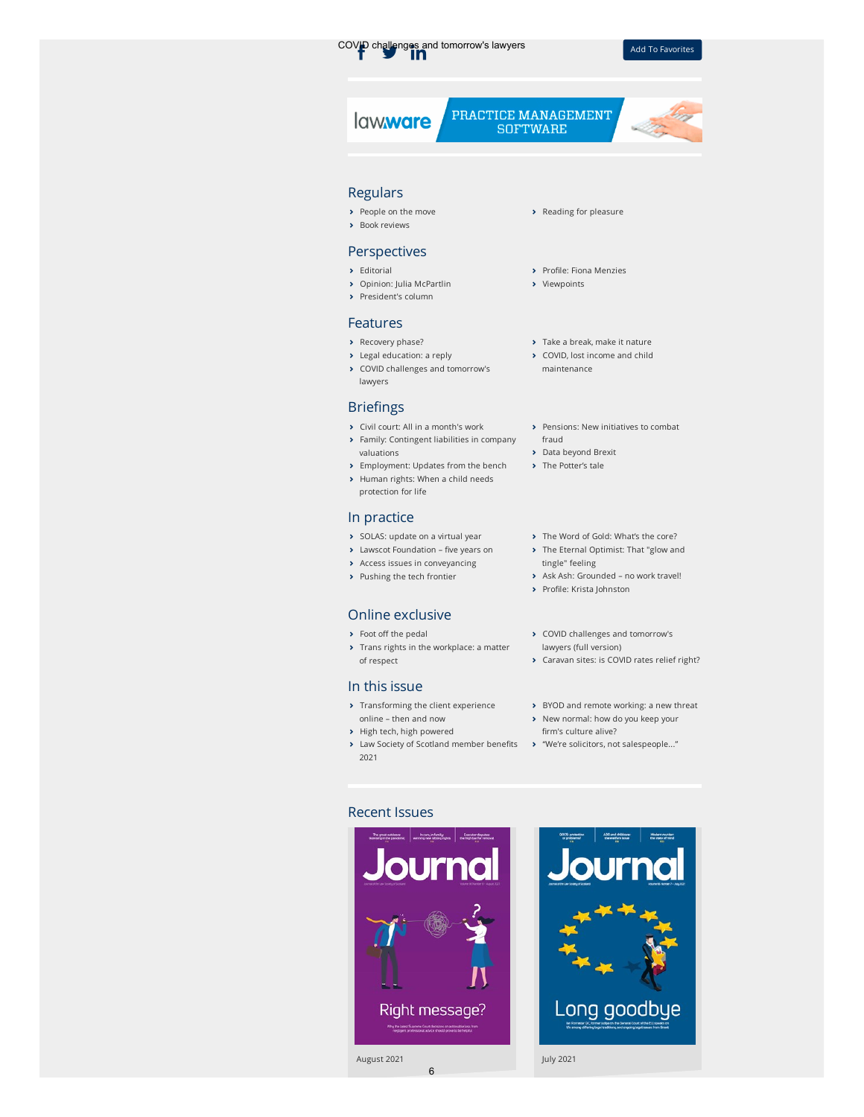

lawware

PRACTICE MANAGEMENT **SOFTWARE** 



- [People on the move](https://www.lawscot.org.uk/members/journal/issues/vol-66-issue-05/people-on-the-move-may-2021/)
- **>** [Book reviews](https://www.lawscot.org.uk/members/journal/issues/vol-66-issue-05/book-reviews-may-2021/)

## Perspectives

- $\blacktriangleright$  [Editorial](https://www.lawscot.org.uk/members/journal/issues/vol-66-issue-05/editorial-may-2021/)
- [Opinion: Julia McPartlin](https://www.lawscot.org.uk/members/journal/issues/vol-66-issue-05/opinion-julia-mcpartlin/)
- > [President's column](https://www.lawscot.org.uk/members/journal/issues/vol-66-issue-05/presidents-column-may-2021/)

## Features

- **>** [Recovery phase?](https://www.lawscot.org.uk/members/journal/issues/vol-66-issue-05/recovery-phase/)
- [Legal education: a reply](https://www.lawscot.org.uk/members/journal/issues/vol-66-issue-05/legal-education-a-reply/)
- [COVID challenges and tomorrow's](https://www.lawscot.org.uk/members/journal/issues/vol-66-issue-05/covid-challenges-and-tomorrows-lawyers/) lawyers

# **Briefings**

- [Civil court: All in a month's work](https://www.lawscot.org.uk/members/journal/issues/vol-66-issue-05/civil-court-all-in-a-months-work/)
- [Family: Contingent liabilities in company](https://www.lawscot.org.uk/members/journal/issues/vol-66-issue-05/family-contingent-liabilities-in-company-valuations/) valuations
- **>** [Employment: Updates from the bench](https://www.lawscot.org.uk/members/journal/issues/vol-66-issue-05/employment-updates-from-the-bench/) > [Human rights: When a child needs](https://www.lawscot.org.uk/members/journal/issues/vol-66-issue-05/human-rights-when-a-child-needs-protection-for-life/)
- protection for life

# In practice

- [SOLAS: update on a virtual year](https://www.lawscot.org.uk/members/journal/issues/vol-66-issue-05/solas-update-on-a-virtual-year/)
- $\rightarrow$  Lawscot Foundation five years on
- [Access issues in conveyancing](https://www.lawscot.org.uk/members/journal/issues/vol-66-issue-05/access-issues-in-conveyancing/)
- > [Pushing the tech frontier](https://www.lawscot.org.uk/members/journal/issues/vol-66-issue-05/pushing-the-tech-frontier/)

# Online exclusive

- $\rightarrow$  Foot off the pedal
- **[Trans rights in the workplace: a matter](https://www.lawscot.org.uk/members/journal/issues/vol-66-issue-05/trans-rights-in-the-workplace-a-matter-of-respect/)** of respect

## In this issue

- > [Transforming the client experience](https://www.lawscot.org.uk/members/journal/issues/vol-66-issue-05/transforming-the-client-experience-online-then-and-now/) online – then and now
- > [High tech, high powered](https://www.lawscot.org.uk/members/journal/issues/vol-66-issue-05/high-tech-high-powered/)
- > Law Society of Scotland member benefits > ["We're solicitors, not salespeople..."](https://www.lawscot.org.uk/members/journal/issues/vol-66-issue-05/we-re-solicitors-not-salespeople/) 2021

6

### > [Reading for pleasure](https://www.lawscot.org.uk/members/journal/issues/vol-66-issue-05/reading-for-pleasure-may-2021/)

- > Profile: Fiona Menzies
- > [Viewpoints](https://www.lawscot.org.uk/members/journal/issues/vol-66-issue-05/viewpoints-may-2021/)
- > [Take a break, make it nature](https://www.lawscot.org.uk/members/journal/issues/vol-66-issue-05/take-a-break-make-it-nature/)
- ◆ [COVID, lost income and child](https://www.lawscot.org.uk/members/journal/issues/vol-66-issue-05/covid-lost-income-and-child-maintenance/) maintenance
- [Pensions: New initiatives to combat](https://www.lawscot.org.uk/members/journal/issues/vol-66-issue-05/pensions-new-initiatives-to-combat-fraud/) fraud
- [Data beyond Brexit](https://www.lawscot.org.uk/members/journal/issues/vol-66-issue-05/data-beyond-brexit/)
- > [The Potter's tale](https://www.lawscot.org.uk/members/journal/issues/vol-66-issue-05/the-potter-s-tale/)
- > [The Word of Gold: What's the core?](https://www.lawscot.org.uk/members/journal/issues/vol-66-issue-05/the-word-of-gold-what-s-the-core/)
- > [The Eternal Optimist: That "glow and](https://www.lawscot.org.uk/members/journal/issues/vol-66-issue-05/the-eternal-optimist-that-glow-and-tingle-feeling/) tingle" feeling
- > Ask Ash: Grounded no work travel!
- > Profile: Krista Johnston
- [COVID challenges and tomorrow's](https://www.lawscot.org.uk/members/journal/issues/vol-66-issue-05/covid-challenges-and-tomorrows-lawyers-full-version/) lawyers (full version)
- [Caravan sites: is COVID rates relief right?](https://www.lawscot.org.uk/members/journal/issues/vol-66-issue-05/caravan-sites-is-covid-rates-relief-right/)
- > [BYOD and remote working: a new threat](https://www.lawscot.org.uk/members/journal/issues/vol-66-issue-05/byod-and-remote-working-a-new-threat/)
- > [New normal: how do you keep your](https://www.lawscot.org.uk/members/journal/issues/vol-66-issue-05/new-normal-how-do-you-keep-your-firms-culture-alive/) firm's culture alive?
	-

# Recent Issues